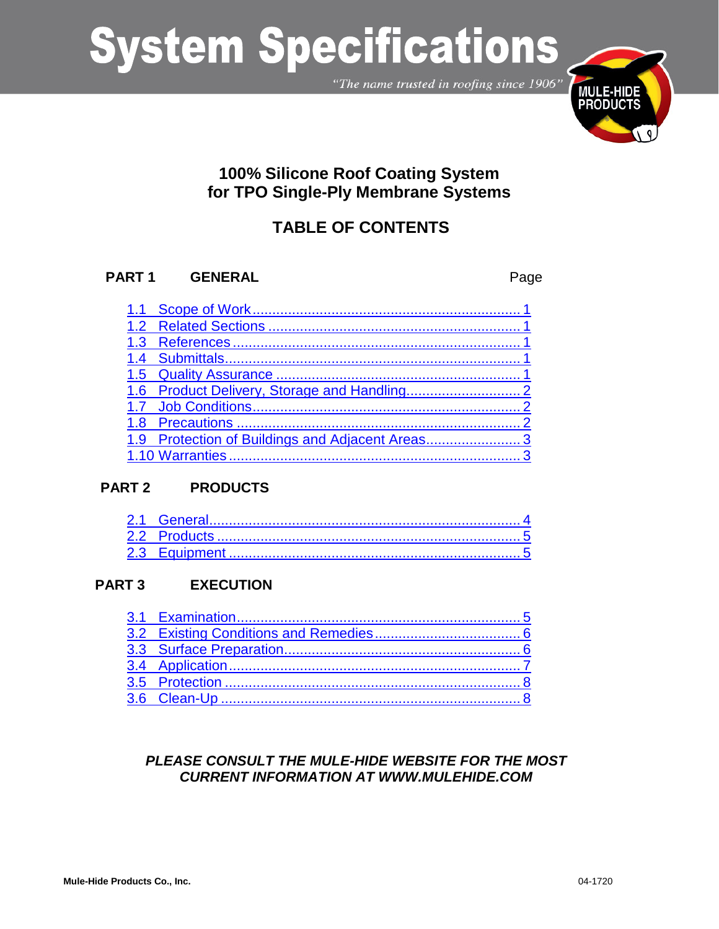"The name trusted in roofing since 1906"



### **100% Silicone Roof Coating System for TPO Single-Ply Membrane Systems**

### **TABLE OF CONTENTS**

### **PART 1 GENERAL** Page

| 1.9 Protection of Buildings and Adjacent Areas3 |  |
|-------------------------------------------------|--|
|                                                 |  |

### **PART 2 PRODUCTS**

### **PART 3 EXECUTION**

### *PLEASE CONSULT THE MULE-HIDE WEBSITE FOR THE MOST CURRENT INFORMATION AT WWW.MULEHIDE.COM*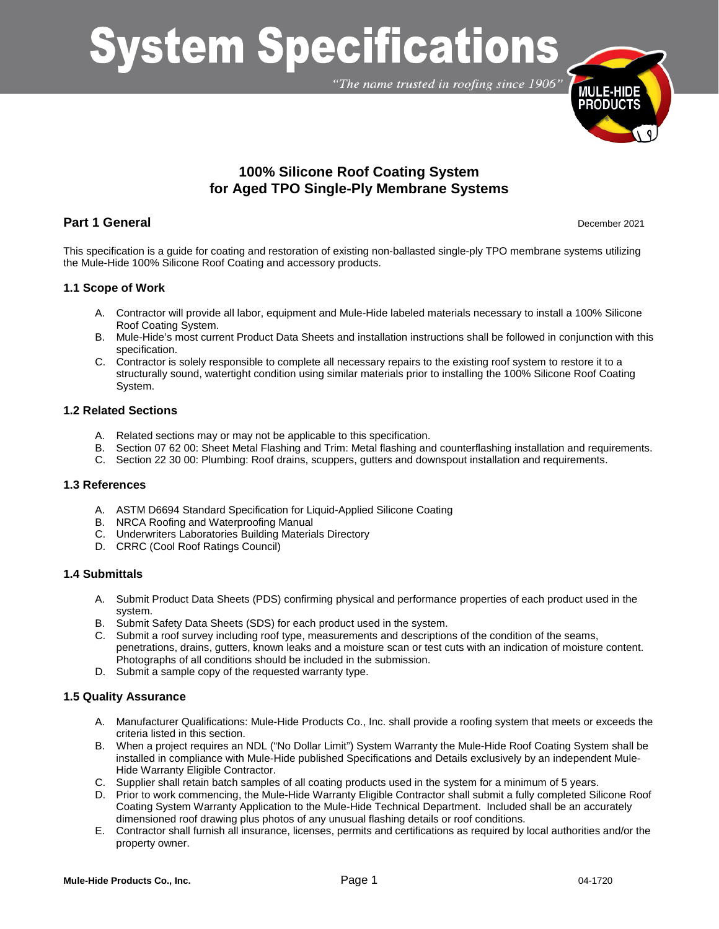"The name trusted in roofing since 1906"



### **100% Silicone Roof Coating System for Aged TPO Single-Ply Membrane Systems**

### **Part 1 General** December 2021

This specification is a guide for coating and restoration of existing non-ballasted single-ply TPO membrane systems utilizing the Mule-Hide 100% Silicone Roof Coating and accessory products.

### <span id="page-1-0"></span>**1.1 Scope of Work**

- A. Contractor will provide all labor, equipment and Mule-Hide labeled materials necessary to install a 100% Silicone Roof Coating System.
- B. Mule-Hide's most current Product Data Sheets and installation instructions shall be followed in conjunction with this specification.
- C. Contractor is solely responsible to complete all necessary repairs to the existing roof system to restore it to a structurally sound, watertight condition using similar materials prior to installing the 100% Silicone Roof Coating System.

#### <span id="page-1-1"></span>**1.2 Related Sections**

- A. Related sections may or may not be applicable to this specification.
- B. Section 07 62 00: Sheet Metal Flashing and Trim: Metal flashing and counterflashing installation and requirements.
- C. Section 22 30 00: Plumbing: Roof drains, scuppers, gutters and downspout installation and requirements.

### <span id="page-1-2"></span>**1.3 References**

- A. ASTM D6694 Standard Specification for Liquid-Applied Silicone Coating
- B. NRCA Roofing and Waterproofing Manual
- C. Underwriters Laboratories Building Materials Directory
- D. CRRC (Cool Roof Ratings Council)

### <span id="page-1-3"></span>**1.4 Submittals**

- A. Submit Product Data Sheets (PDS) confirming physical and performance properties of each product used in the system.
- B. Submit Safety Data Sheets (SDS) for each product used in the system.
- C. Submit a roof survey including roof type, measurements and descriptions of the condition of the seams, penetrations, drains, gutters, known leaks and a moisture scan or test cuts with an indication of moisture content. Photographs of all conditions should be included in the submission.
- D. Submit a sample copy of the requested warranty type.

### <span id="page-1-4"></span>**1.5 Quality Assurance**

- A. Manufacturer Qualifications: Mule-Hide Products Co., Inc. shall provide a roofing system that meets or exceeds the criteria listed in this section.
- B. When a project requires an NDL ("No Dollar Limit") System Warranty the Mule-Hide Roof Coating System shall be installed in compliance with Mule-Hide published Specifications and Details exclusively by an independent Mule-Hide Warranty Eligible Contractor.
- C. Supplier shall retain batch samples of all coating products used in the system for a minimum of 5 years.
- D. Prior to work commencing, the Mule-Hide Warranty Eligible Contractor shall submit a fully completed Silicone Roof Coating System Warranty Application to the Mule-Hide Technical Department. Included shall be an accurately dimensioned roof drawing plus photos of any unusual flashing details or roof conditions.
- E. Contractor shall furnish all insurance, licenses, permits and certifications as required by local authorities and/or the property owner.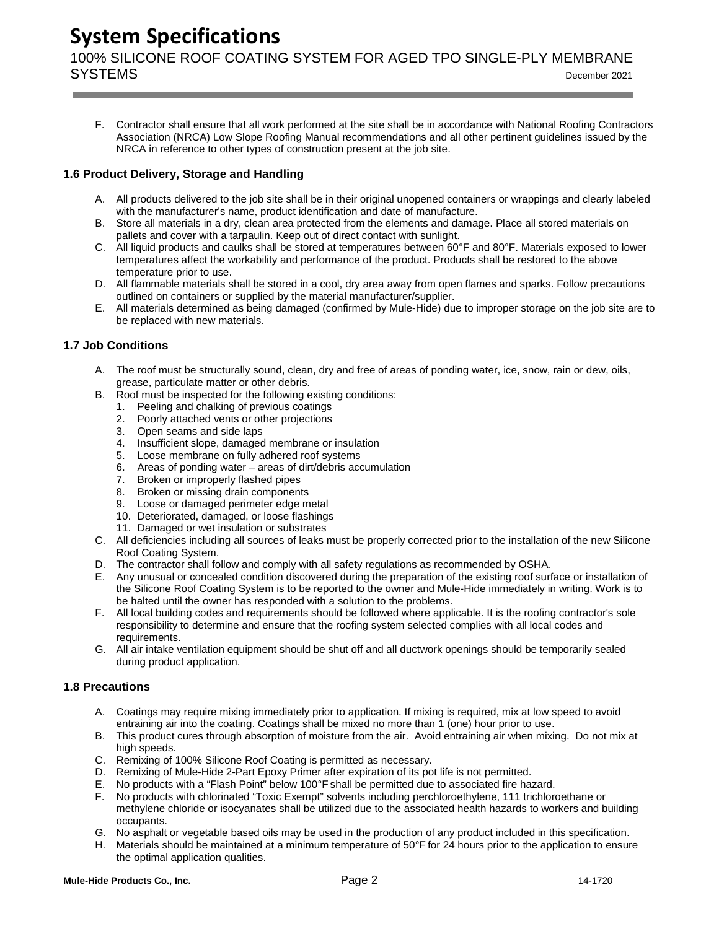100% SILICONE ROOF COATING SYSTEM FOR AGED TPO SINGLE-PLY MEMBRANE SYSTEMS December <sup>2021</sup>

F. Contractor shall ensure that all work performed at the site shall be in accordance with National Roofing Contractors Association (NRCA) Low Slope Roofing Manual recommendations and all other pertinent guidelines issued by the NRCA in reference to other types of construction present at the job site.

### <span id="page-2-0"></span>**1.6 Product Delivery, Storage and Handling**

- A. All products delivered to the job site shall be in their original unopened containers or wrappings and clearly labeled with the manufacturer's name, product identification and date of manufacture.
- B. Store all materials in a dry, clean area protected from the elements and damage. Place all stored materials on pallets and cover with a tarpaulin. Keep out of direct contact with sunlight.
- C. All liquid products and caulks shall be stored at temperatures between 60°F and 80°F. Materials exposed to lower temperatures affect the workability and performance of the product. Products shall be restored to the above temperature prior to use.
- D. All flammable materials shall be stored in a cool, dry area away from open flames and sparks. Follow precautions outlined on containers or supplied by the material manufacturer/supplier.
- E. All materials determined as being damaged (confirmed by Mule-Hide) due to improper storage on the job site are to be replaced with new materials.

### <span id="page-2-1"></span>**1.7 Job Conditions**

- A. The roof must be structurally sound, clean, dry and free of areas of ponding water, ice, snow, rain or dew, oils, grease, particulate matter or other debris.
- B. Roof must be inspected for the following existing conditions:
	- 1. Peeling and chalking of previous coatings
	- 2. Poorly attached vents or other projections
	- 3. Open seams and side laps
	- 4. Insufficient slope, damaged membrane or insulation
	- 5. Loose membrane on fully adhered roof systems
	- 6. Areas of ponding water areas of dirt/debris accumulation
	- 7. Broken or improperly flashed pipes
	- 8. Broken or missing drain components
	- 9. Loose or damaged perimeter edge metal
	- 10. Deteriorated, damaged, or loose flashings
	- 11. Damaged or wet insulation or substrates
- C. All deficiencies including all sources of leaks must be properly corrected prior to the installation of the new Silicone Roof Coating System.
- D. The contractor shall follow and comply with all safety regulations as recommended by OSHA.
- E. Any unusual or concealed condition discovered during the preparation of the existing roof surface or installation of the Silicone Roof Coating System is to be reported to the owner and Mule-Hide immediately in writing. Work is to be halted until the owner has responded with a solution to the problems.
- F. All local building codes and requirements should be followed where applicable. It is the roofing contractor's sole responsibility to determine and ensure that the roofing system selected complies with all local codes and requirements.
- G. All air intake ventilation equipment should be shut off and all ductwork openings should be temporarily sealed during product application.

### <span id="page-2-2"></span>**1.8 Precautions**

- A. Coatings may require mixing immediately prior to application. If mixing is required, mix at low speed to avoid entraining air into the coating. Coatings shall be mixed no more than 1 (one) hour prior to use.
- B. This product cures through absorption of moisture from the air. Avoid entraining air when mixing. Do not mix at high speeds.
- C. Remixing of 100% Silicone Roof Coating is permitted as necessary.<br>D. Remixing of Mule-Hide 2-Part Epoxy Primer after expiration of its no
- Remixing of Mule-Hide 2-Part Epoxy Primer after expiration of its pot life is not permitted.
- E. No products with a "Flash Point" below 100°F shall be permitted due to associated fire hazard.
- F. No products with chlorinated "Toxic Exempt" solvents including perchloroethylene, 111 trichloroethane or methylene chloride or isocyanates shall be utilized due to the associated health hazards to workers and building occupants.
- G. No asphalt or vegetable based oils may be used in the production of any product included in this specification.
- H. Materials should be maintained at a minimum temperature of 50°F for 24 hours prior to the application to ensure the optimal application qualities.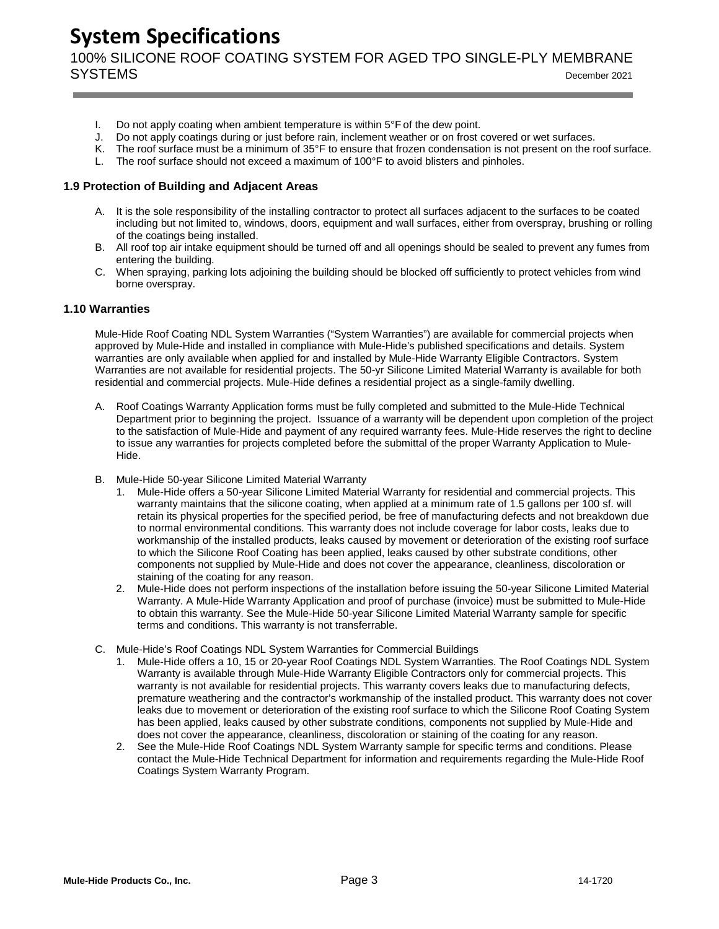100% SILICONE ROOF COATING SYSTEM FOR AGED TPO SINGLE-PLY MEMBRANE SYSTEMS December <sup>2021</sup>

- I. Do not apply coating when ambient temperature is within 5°F of the dew point.
- J. Do not apply coatings during or just before rain, inclement weather or on frost covered or wet surfaces.
- K. The roof surface must be a minimum of 35°F to ensure that frozen condensation is not present on the roof surface.
- L. The roof surface should not exceed a maximum of 100°F to avoid blisters and pinholes.

#### <span id="page-3-0"></span>**1.9 Protection of Building and Adjacent Areas**

- A. It is the sole responsibility of the installing contractor to protect all surfaces adjacent to the surfaces to be coated including but not limited to, windows, doors, equipment and wall surfaces, either from overspray, brushing or rolling of the coatings being installed.
- B. All roof top air intake equipment should be turned off and all openings should be sealed to prevent any fumes from entering the building.
- C. When spraying, parking lots adjoining the building should be blocked off sufficiently to protect vehicles from wind borne overspray.

#### <span id="page-3-1"></span>**1.10 Warranties**

Mule-Hide Roof Coating NDL System Warranties ("System Warranties") are available for commercial projects when approved by Mule-Hide and installed in compliance with Mule-Hide's published specifications and details. System warranties are only available when applied for and installed by Mule-Hide Warranty Eligible Contractors. System Warranties are not available for residential projects. The 50-yr Silicone Limited Material Warranty is available for both residential and commercial projects. Mule-Hide defines a residential project as a single-family dwelling.

- A. Roof Coatings Warranty Application forms must be fully completed and submitted to the Mule-Hide Technical Department prior to beginning the project. Issuance of a warranty will be dependent upon completion of the project to the satisfaction of Mule-Hide and payment of any required warranty fees. Mule-Hide reserves the right to decline to issue any warranties for projects completed before the submittal of the proper Warranty Application to Mule-Hide.
- B. Mule-Hide 50-year Silicone Limited Material Warranty
	- 1. Mule-Hide offers a 50-year Silicone Limited Material Warranty for residential and commercial projects. This warranty maintains that the silicone coating, when applied at a minimum rate of 1.5 gallons per 100 sf. will retain its physical properties for the specified period, be free of manufacturing defects and not breakdown due to normal environmental conditions. This warranty does not include coverage for labor costs, leaks due to workmanship of the installed products, leaks caused by movement or deterioration of the existing roof surface to which the Silicone Roof Coating has been applied, leaks caused by other substrate conditions, other components not supplied by Mule-Hide and does not cover the appearance, cleanliness, discoloration or staining of the coating for any reason.
	- 2. Mule-Hide does not perform inspections of the installation before issuing the 50-year Silicone Limited Material Warranty. A Mule-Hide Warranty Application and proof of purchase (invoice) must be submitted to Mule-Hide to obtain this warranty. See the Mule-Hide 50-year Silicone Limited Material Warranty sample for specific terms and conditions. This warranty is not transferrable.
- C. Mule-Hide's Roof Coatings NDL System Warranties for Commercial Buildings
	- 1. Mule-Hide offers a 10, 15 or 20-year Roof Coatings NDL System Warranties. The Roof Coatings NDL System Warranty is available through Mule-Hide Warranty Eligible Contractors only for commercial projects. This warranty is not available for residential projects. This warranty covers leaks due to manufacturing defects, premature weathering and the contractor's workmanship of the installed product. This warranty does not cover leaks due to movement or deterioration of the existing roof surface to which the Silicone Roof Coating System has been applied, leaks caused by other substrate conditions, components not supplied by Mule-Hide and does not cover the appearance, cleanliness, discoloration or staining of the coating for any reason.
	- 2. See the Mule-Hide Roof Coatings NDL System Warranty sample for specific terms and conditions. Please contact the Mule-Hide Technical Department for information and requirements regarding the Mule-Hide Roof Coatings System Warranty Program.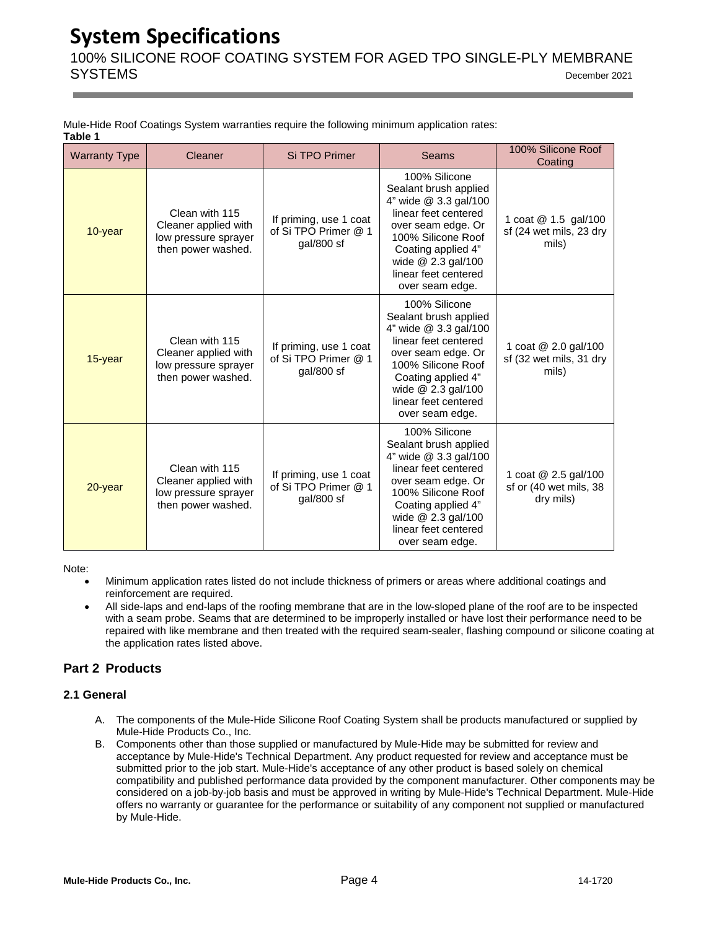100% SILICONE ROOF COATING SYSTEM FOR AGED TPO SINGLE-PLY MEMBRANE SYSTEMS December <sup>2021</sup>

|         | Mule-Hide Roof Coatings System warranties require the following minimum application rates: |  |  |  |  |
|---------|--------------------------------------------------------------------------------------------|--|--|--|--|
| Table 1 |                                                                                            |  |  |  |  |

| <b>Warranty Type</b> | Cleaner                                                                              | Si TPO Primer                                                  | <b>Seams</b>                                                                                                                                                                                                                 | 100% Silicone Roof<br>Coating                               |
|----------------------|--------------------------------------------------------------------------------------|----------------------------------------------------------------|------------------------------------------------------------------------------------------------------------------------------------------------------------------------------------------------------------------------------|-------------------------------------------------------------|
| 10-year              | Clean with 115<br>Cleaner applied with<br>low pressure sprayer<br>then power washed. | If priming, use 1 coat<br>of Si TPO Primer @ 1<br>gal/800 sf   | 100% Silicone<br>Sealant brush applied<br>4" wide @ 3.3 gal/100<br>linear feet centered<br>over seam edge. Or<br>100% Silicone Roof<br>Coating applied 4"<br>wide $@$ 2.3 gal/100<br>linear feet centered<br>over seam edge. | 1 coat @ 1.5 gal/100<br>sf (24 wet mils, 23 dry<br>mils)    |
| 15-year              | Clean with 115<br>Cleaner applied with<br>low pressure sprayer<br>then power washed. | If priming, use 1 coat<br>of Si TPO Primer @ 1<br>gal/800 sf   | 100% Silicone<br>Sealant brush applied<br>4" wide @ 3.3 gal/100<br>linear feet centered<br>over seam edge. Or<br>100% Silicone Roof<br>Coating applied 4"<br>wide @ 2.3 gal/100<br>linear feet centered<br>over seam edge.   | 1 coat @ 2.0 gal/100<br>sf (32 wet mils, 31 dry<br>mils)    |
| 20-year              | Clean with 115<br>Cleaner applied with<br>low pressure sprayer<br>then power washed. | If priming, use 1 coat<br>of Si TPO Primer @ 1<br>$gal/800$ sf | 100% Silicone<br>Sealant brush applied<br>4" wide @ 3.3 gal/100<br>linear feet centered<br>over seam edge. Or<br>100% Silicone Roof<br>Coating applied 4"<br>wide @ 2.3 gal/100<br>linear feet centered<br>over seam edge.   | 1 coat @ 2.5 gal/100<br>sf or (40 wet mils, 38<br>dry mils) |

Note:

- Minimum application rates listed do not include thickness of primers or areas where additional coatings and reinforcement are required.
- All side-laps and end-laps of the roofing membrane that are in the low-sloped plane of the roof are to be inspected with a seam probe. Seams that are determined to be improperly installed or have lost their performance need to be repaired with like membrane and then treated with the required seam-sealer, flashing compound or silicone coating at the application rates listed above.

### **Part 2 Products**

### <span id="page-4-0"></span>**2.1 General**

- A. The components of the Mule-Hide Silicone Roof Coating System shall be products manufactured or supplied by Mule-Hide Products Co., Inc.
- B. Components other than those supplied or manufactured by Mule-Hide may be submitted for review and acceptance by Mule-Hide's Technical Department. Any product requested for review and acceptance must be submitted prior to the job start. Mule-Hide's acceptance of any other product is based solely on chemical compatibility and published performance data provided by the component manufacturer. Other components may be considered on a job-by-job basis and must be approved in writing by Mule-Hide's Technical Department. Mule-Hide offers no warranty or guarantee for the performance or suitability of any component not supplied or manufactured by Mule-Hide.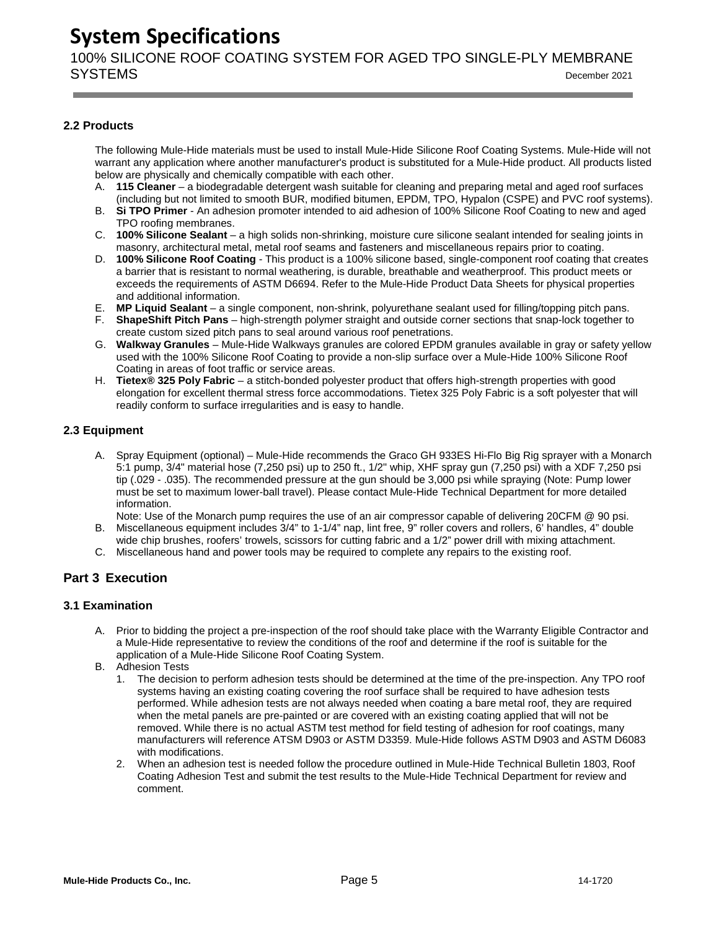100% SILICONE ROOF COATING SYSTEM FOR AGED TPO SINGLE-PLY MEMBRANE SYSTEMS December <sup>2021</sup>

### <span id="page-5-0"></span>**2.2 Products**

The following Mule-Hide materials must be used to install Mule-Hide Silicone Roof Coating Systems. Mule-Hide will not warrant any application where another manufacturer's product is substituted for a Mule-Hide product. All products listed below are physically and chemically compatible with each other.

- A. **115 Cleaner** a biodegradable detergent wash suitable for cleaning and preparing metal and aged roof surfaces (including but not limited to smooth BUR, modified bitumen, EPDM, TPO, Hypalon (CSPE) and PVC roof systems).
- B. **Si TPO Primer** An adhesion promoter intended to aid adhesion of 100% Silicone Roof Coating to new and aged TPO roofing membranes.
- C. **100% Silicone Sealant** a high solids non-shrinking, moisture cure silicone sealant intended for sealing joints in masonry, architectural metal, metal roof seams and fasteners and miscellaneous repairs prior to coating.
- D. **100% Silicone Roof Coating** This product is a 100% silicone based, single-component roof coating that creates a barrier that is resistant to normal weathering, is durable, breathable and weatherproof. This product meets or exceeds the requirements of ASTM D6694. Refer to the Mule-Hide Product Data Sheets for physical properties and additional information.
- E. **MP Liquid Sealant** a single component, non-shrink, polyurethane sealant used for filling/topping pitch pans.
- F. **ShapeShift Pitch Pans** high-strength polymer straight and outside corner sections that snap-lock together to create custom sized pitch pans to seal around various roof penetrations.
- G. **Walkway Granules** Mule-Hide Walkways granules are colored EPDM granules available in gray or safety yellow used with the 100% Silicone Roof Coating to provide a non-slip surface over a Mule-Hide 100% Silicone Roof Coating in areas of foot traffic or service areas.
- H. **Tietex® 325 Poly Fabric** a stitch-bonded polyester product that offers high-strength properties with good elongation for excellent thermal stress force accommodations. Tietex 325 Poly Fabric is a soft polyester that will readily conform to surface irregularities and is easy to handle.

### <span id="page-5-1"></span>**2.3 Equipment**

A. Spray Equipment (optional) – Mule-Hide recommends the Graco GH 933ES Hi-Flo Big Rig sprayer with a Monarch 5:1 pump, 3/4" material hose (7,250 psi) up to 250 ft., 1/2" whip, XHF spray gun (7,250 psi) with a XDF 7,250 psi tip (.029 - .035). The recommended pressure at the gun should be 3,000 psi while spraying (Note: Pump lower must be set to maximum lower-ball travel). Please contact Mule-Hide Technical Department for more detailed information.

Note: Use of the Monarch pump requires the use of an air compressor capable of delivering 20CFM @ 90 psi.

- B. Miscellaneous equipment includes 3/4" to 1-1/4" nap, lint free, 9" roller covers and rollers, 6' handles, 4" double wide chip brushes, roofers' trowels, scissors for cutting fabric and a 1/2" power drill with mixing attachment.
- C. Miscellaneous hand and power tools may be required to complete any repairs to the existing roof.

### **Part 3 Execution**

### <span id="page-5-2"></span>**3.1 Examination**

- A. Prior to bidding the project a pre-inspection of the roof should take place with the Warranty Eligible Contractor and a Mule-Hide representative to review the conditions of the roof and determine if the roof is suitable for the application of a Mule-Hide Silicone Roof Coating System.
- B. Adhesion Tests
	- 1. The decision to perform adhesion tests should be determined at the time of the pre-inspection. Any TPO roof systems having an existing coating covering the roof surface shall be required to have adhesion tests performed. While adhesion tests are not always needed when coating a bare metal roof, they are required when the metal panels are pre-painted or are covered with an existing coating applied that will not be removed. While there is no actual ASTM test method for field testing of adhesion for roof coatings, many manufacturers will reference ATSM D903 or ASTM D3359. Mule-Hide follows ASTM D903 and ASTM D6083 with modifications.
	- 2. When an adhesion test is needed follow the procedure outlined in Mule-Hide Technical Bulletin 1803, Roof Coating Adhesion Test and submit the test results to the Mule-Hide Technical Department for review and comment.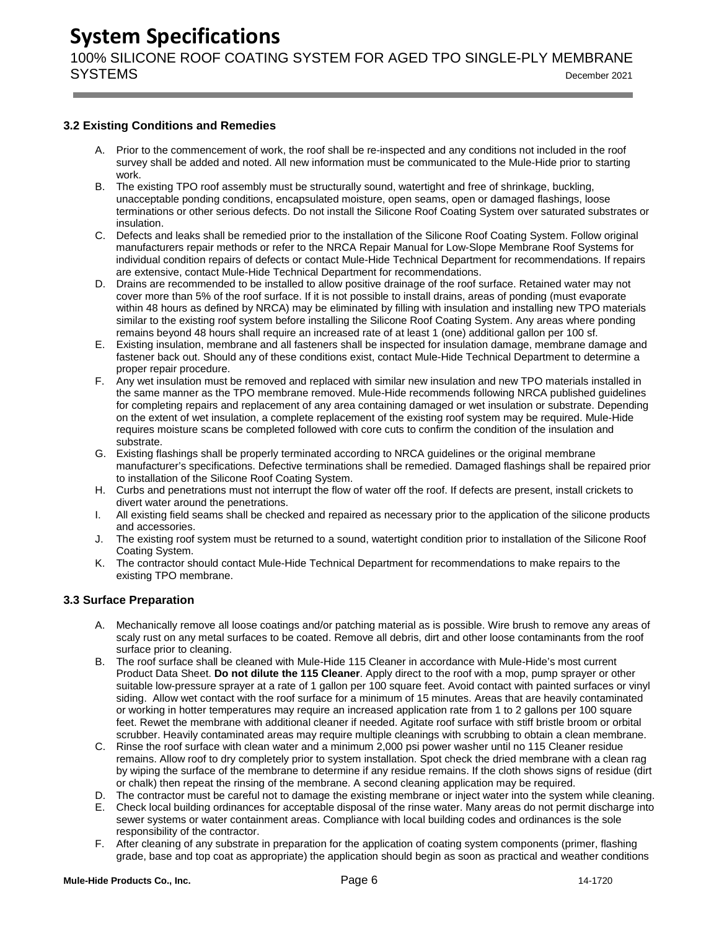100% SILICONE ROOF COATING SYSTEM FOR AGED TPO SINGLE-PLY MEMBRANE SYSTEMS December <sup>2021</sup>

### <span id="page-6-0"></span>**3.2 Existing Conditions and Remedies**

- A. Prior to the commencement of work, the roof shall be re-inspected and any conditions not included in the roof survey shall be added and noted. All new information must be communicated to the Mule-Hide prior to starting work.
- B. The existing TPO roof assembly must be structurally sound, watertight and free of shrinkage, buckling, unacceptable ponding conditions, encapsulated moisture, open seams, open or damaged flashings, loose terminations or other serious defects. Do not install the Silicone Roof Coating System over saturated substrates or insulation.
- C. Defects and leaks shall be remedied prior to the installation of the Silicone Roof Coating System. Follow original manufacturers repair methods or refer to the NRCA Repair Manual for Low-Slope Membrane Roof Systems for individual condition repairs of defects or contact Mule-Hide Technical Department for recommendations. If repairs are extensive, contact Mule-Hide Technical Department for recommendations.
- D. Drains are recommended to be installed to allow positive drainage of the roof surface. Retained water may not cover more than 5% of the roof surface. If it is not possible to install drains, areas of ponding (must evaporate within 48 hours as defined by NRCA) may be eliminated by filling with insulation and installing new TPO materials similar to the existing roof system before installing the Silicone Roof Coating System. Any areas where ponding remains beyond 48 hours shall require an increased rate of at least 1 (one) additional gallon per 100 sf.
- E. Existing insulation, membrane and all fasteners shall be inspected for insulation damage, membrane damage and fastener back out. Should any of these conditions exist, contact Mule-Hide Technical Department to determine a proper repair procedure.
- F. Any wet insulation must be removed and replaced with similar new insulation and new TPO materials installed in the same manner as the TPO membrane removed. Mule-Hide recommends following NRCA published guidelines for completing repairs and replacement of any area containing damaged or wet insulation or substrate. Depending on the extent of wet insulation, a complete replacement of the existing roof system may be required. Mule-Hide requires moisture scans be completed followed with core cuts to confirm the condition of the insulation and substrate.
- G. Existing flashings shall be properly terminated according to NRCA guidelines or the original membrane manufacturer's specifications. Defective terminations shall be remedied. Damaged flashings shall be repaired prior to installation of the Silicone Roof Coating System.
- H. Curbs and penetrations must not interrupt the flow of water off the roof. If defects are present, install crickets to divert water around the penetrations.
- I. All existing field seams shall be checked and repaired as necessary prior to the application of the silicone products and accessories.
- J. The existing roof system must be returned to a sound, watertight condition prior to installation of the Silicone Roof Coating System.
- K. The contractor should contact Mule-Hide Technical Department for recommendations to make repairs to the existing TPO membrane.

### <span id="page-6-1"></span>**3.3 Surface Preparation**

- A. Mechanically remove all loose coatings and/or patching material as is possible. Wire brush to remove any areas of scaly rust on any metal surfaces to be coated. Remove all debris, dirt and other loose contaminants from the roof surface prior to cleaning.
- B. The roof surface shall be cleaned with Mule-Hide 115 Cleaner in accordance with Mule-Hide's most current Product Data Sheet. **Do not dilute the 115 Cleaner**. Apply direct to the roof with a mop, pump sprayer or other suitable low-pressure sprayer at a rate of 1 gallon per 100 square feet. Avoid contact with painted surfaces or vinyl siding. Allow wet contact with the roof surface for a minimum of 15 minutes. Areas that are heavily contaminated or working in hotter temperatures may require an increased application rate from 1 to 2 gallons per 100 square feet. Rewet the membrane with additional cleaner if needed. Agitate roof surface with stiff bristle broom or orbital scrubber. Heavily contaminated areas may require multiple cleanings with scrubbing to obtain a clean membrane.
- C. Rinse the roof surface with clean water and a minimum 2,000 psi power washer until no 115 Cleaner residue remains. Allow roof to dry completely prior to system installation. Spot check the dried membrane with a clean rag by wiping the surface of the membrane to determine if any residue remains. If the cloth shows signs of residue (dirt or chalk) then repeat the rinsing of the membrane. A second cleaning application may be required.
- D. The contractor must be careful not to damage the existing membrane or inject water into the system while cleaning.
- E. Check local building ordinances for acceptable disposal of the rinse water. Many areas do not permit discharge into sewer systems or water containment areas. Compliance with local building codes and ordinances is the sole responsibility of the contractor.
- F. After cleaning of any substrate in preparation for the application of coating system components (primer, flashing grade, base and top coat as appropriate) the application should begin as soon as practical and weather conditions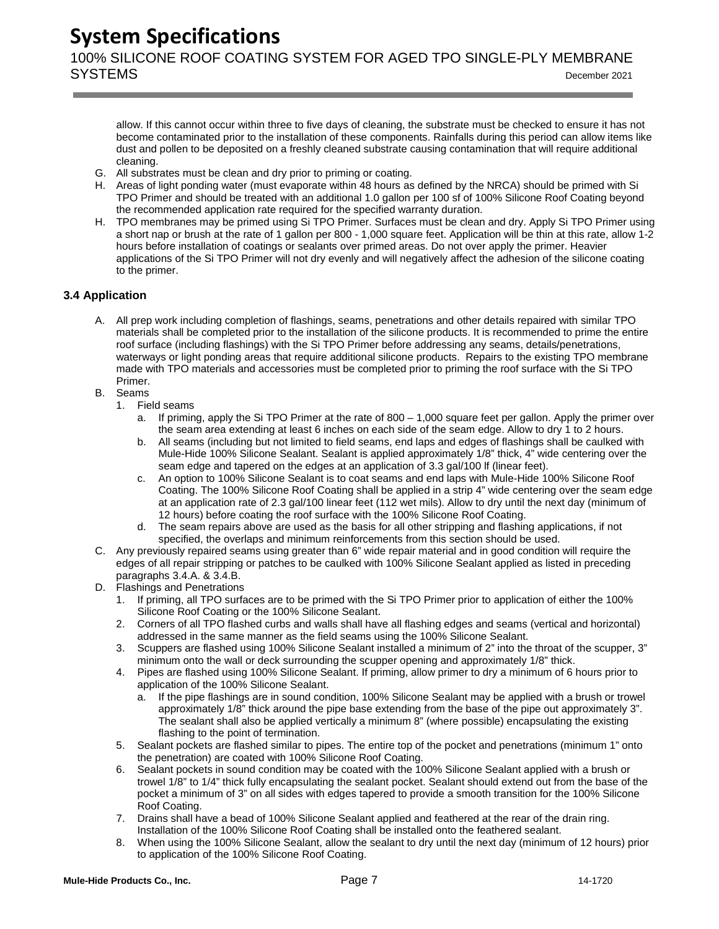100% SILICONE ROOF COATING SYSTEM FOR AGED TPO SINGLE-PLY MEMBRANE SYSTEMS December <sup>2021</sup>

allow. If this cannot occur within three to five days of cleaning, the substrate must be checked to ensure it has not become contaminated prior to the installation of these components. Rainfalls during this period can allow items like dust and pollen to be deposited on a freshly cleaned substrate causing contamination that will require additional cleaning.

- G. All substrates must be clean and dry prior to priming or coating.
- H. Areas of light ponding water (must evaporate within 48 hours as defined by the NRCA) should be primed with Si TPO Primer and should be treated with an additional 1.0 gallon per 100 sf of 100% Silicone Roof Coating beyond the recommended application rate required for the specified warranty duration.
- H. TPO membranes may be primed using Si TPO Primer. Surfaces must be clean and dry. Apply Si TPO Primer using a short nap or brush at the rate of 1 gallon per 800 - 1,000 square feet. Application will be thin at this rate, allow 1-2 hours before installation of coatings or sealants over primed areas. Do not over apply the primer. Heavier applications of the Si TPO Primer will not dry evenly and will negatively affect the adhesion of the silicone coating to the primer.

### <span id="page-7-0"></span>**3.4 Application**

- A. All prep work including completion of flashings, seams, penetrations and other details repaired with similar TPO materials shall be completed prior to the installation of the silicone products. It is recommended to prime the entire roof surface (including flashings) with the Si TPO Primer before addressing any seams, details/penetrations, waterways or light ponding areas that require additional silicone products. Repairs to the existing TPO membrane made with TPO materials and accessories must be completed prior to priming the roof surface with the Si TPO Primer.
- B. Seams
	- 1. Field seams
		- a. If priming, apply the Si TPO Primer at the rate of 800 1,000 square feet per gallon. Apply the primer over the seam area extending at least 6 inches on each side of the seam edge. Allow to dry 1 to 2 hours.
		- b. All seams (including but not limited to field seams, end laps and edges of flashings shall be caulked with Mule-Hide 100% Silicone Sealant. Sealant is applied approximately 1/8" thick, 4" wide centering over the seam edge and tapered on the edges at an application of 3.3 gal/100 lf (linear feet).
		- c. An option to 100% Silicone Sealant is to coat seams and end laps with Mule-Hide 100% Silicone Roof Coating. The 100% Silicone Roof Coating shall be applied in a strip 4" wide centering over the seam edge at an application rate of 2.3 gal/100 linear feet (112 wet mils). Allow to dry until the next day (minimum of 12 hours) before coating the roof surface with the 100% Silicone Roof Coating.
		- d. The seam repairs above are used as the basis for all other stripping and flashing applications, if not specified, the overlaps and minimum reinforcements from this section should be used.
- C. Any previously repaired seams using greater than 6" wide repair material and in good condition will require the edges of all repair stripping or patches to be caulked with 100% Silicone Sealant applied as listed in preceding paragraphs 3.4.A. & 3.4.B.
- D. Flashings and Penetrations
	- 1. If priming, all TPO surfaces are to be primed with the Si TPO Primer prior to application of either the 100% Silicone Roof Coating or the 100% Silicone Sealant.
	- 2. Corners of all TPO flashed curbs and walls shall have all flashing edges and seams (vertical and horizontal) addressed in the same manner as the field seams using the 100% Silicone Sealant.
	- 3. Scuppers are flashed using 100% Silicone Sealant installed a minimum of 2" into the throat of the scupper, 3" minimum onto the wall or deck surrounding the scupper opening and approximately 1/8" thick.
	- 4. Pipes are flashed using 100% Silicone Sealant. If priming, allow primer to dry a minimum of 6 hours prior to application of the 100% Silicone Sealant.
		- a. If the pipe flashings are in sound condition, 100% Silicone Sealant may be applied with a brush or trowel approximately 1/8" thick around the pipe base extending from the base of the pipe out approximately 3". The sealant shall also be applied vertically a minimum 8" (where possible) encapsulating the existing flashing to the point of termination.
	- 5. Sealant pockets are flashed similar to pipes. The entire top of the pocket and penetrations (minimum 1" onto the penetration) are coated with 100% Silicone Roof Coating.
	- 6. Sealant pockets in sound condition may be coated with the 100% Silicone Sealant applied with a brush or trowel 1/8" to 1/4" thick fully encapsulating the sealant pocket. Sealant should extend out from the base of the pocket a minimum of 3" on all sides with edges tapered to provide a smooth transition for the 100% Silicone Roof Coating.
	- 7. Drains shall have a bead of 100% Silicone Sealant applied and feathered at the rear of the drain ring. Installation of the 100% Silicone Roof Coating shall be installed onto the feathered sealant.
	- 8. When using the 100% Silicone Sealant, allow the sealant to dry until the next day (minimum of 12 hours) prior to application of the 100% Silicone Roof Coating.